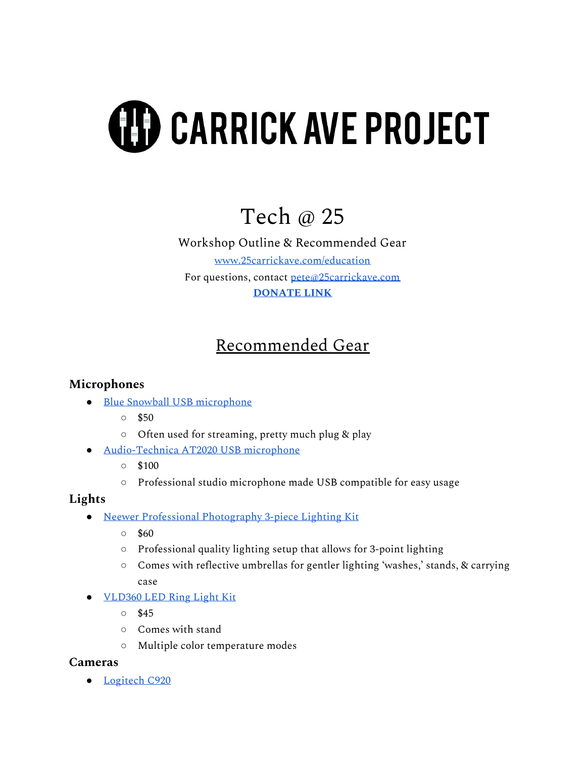# **(H) CARRICK AVE PROJECT**

## Tech @ 25

Workshop Outline & Recommended Gear [www.25carrickave.com/education](http://www.25carrickave.com/education) For questions, contact [pete@25carrickave.com](mailto:pete@25carrickave.com) **[DONATE](https://www.paypal.com/paypalme/25carrick) LINK**

## Recommended Gear

## **Microphones**

- Blue Snowball USB [microphone](https://www.bestbuy.com/site/blue-microphones-snowball-ice-usb-microphone/3242031.p?skuId=3242031)
	- $\circ$  \$50
	- Often used for streaming, pretty much plug & play
- [Audio-Technica](https://www.sweetwater.com/store/detail/AT2020--audio-technica-at2020-cardioid-condenser-microphone?mrkgadid=3301332174&mrkgcl=28&mrkgen=gpla&mrkgbflag=0&mrkgcat=studio&recording=&acctid=21700000001645388&dskeywordid=92700046938536398&lid=92700046938536398&ds_s_kwgid=58700005285190893&ds_s_inventory_feed_id=97700000007215323&dsproductgroupid=441508203966&product_id=AT2020&prodctry=US&prodlang=en&channel=online&storeid=&device=c&network=g&matchtype=&locationid=9005915&creative=280136034178&targetid=aud-297527862170%3Apla-441508203966&campaignid=1465808290&gclid=Cj0KCQjw59n8BRD2ARIsAAmgPmKFA1Xoreja41znzGfla8Vs5sOb1SBJ3UgybD9Pviv-dkA_taFHJQIaAjPqEALw_wcB&gclsrc=aw.ds) AT2020 USB microphone
	- $\circ$  \$100
	- Professional studio microphone made USB compatible for easy usage

## **Lights**

- Neewer Professional [Photography](https://neewer.com/products/lighting-studio-10085697) 3-piece Lighting Kit
	- $\circ$  \$60
	- Professional quality lighting setup that allows for 3-point lighting
	- Comes with reflective umbrellas for gentler lighting 'washes,' stands, & carrying case
- [VLD360](https://www.sweetwater.com/store/detail/VLD360--on-stage-stands-vld360-led-ring-light-kit?mrkgadid=3344196999&mrkgcl=28&mrkgen=gpla&mrkgbflag=0&mrkgcat=studio&recording&&acctid=21700000001645388&dskeywordid=92700046938656755&lid=92700046938656755&ds_s_kwgid=58700005285225378&ds_s_inventory_feed_id=97700000007215323&dsproductgroupid=779856261559&product_id=VLD360&prodctry=US&prodlang=en&channel=online&storeid=&device=c&network=g&matchtype=&locationid=9005915&creative=360738228134&targetid=aud-297527862170:pla-779856261559&campaignid=2055912425&gclid=Cj0KCQjw59n8BRD2ARIsAAmgPmID6nGhAyRT1Fm5HmlL_izzjDQ8xkRjN52yD0v3WmMtg6DrDZLn_e0aAkhqEALw_wcB&gclsrc=aw.ds) LED Ring Light Kit
	- \$45
	- Comes with stand
	- Multiple color temperature modes

#### **Cameras**

● [Logitech](https://www.logitech.com/en-us/products/webcams/c920-pro-hd-webcam.960-000764.html) C920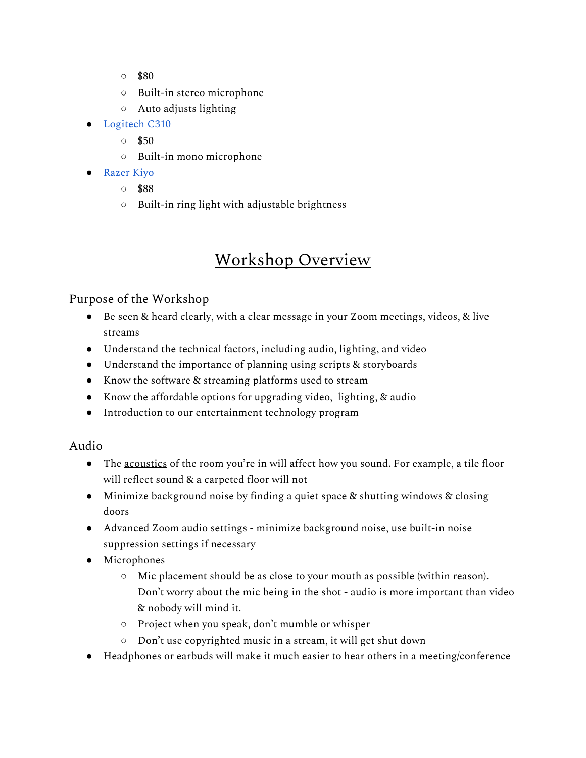- $\circ$  \$80
- Built-in stereo microphone
- Auto adjusts lighting
- [Logitech](https://www.logitech.com/en-us/products/webcams/c310-hd-webcam.960-000585.html) C310
	- \$50
	- Built-in mono microphone
- [Razer](https://www.bestbuy.com/site/razer-kiyo-webcam/6289641.p?skuId=6289641&ref=212&loc=1&ref=212&loc=1&gclid=Cj0KCQjw59n8BRD2ARIsAAmgPmJ4nTYT-HP2BUAjuqVv9XHQqsxzCIG4Vym0tJPQYxexrK1a-zgMt-waAllzEALw_wcB&gclsrc=aw.ds) Kiyo
	- \$88
	- Built-in ring light with adjustable brightness

## Workshop Overview

## Purpose of the Workshop

- Be seen & heard clearly, with a clear message in your Zoom meetings, videos, & live streams
- Understand the technical factors, including audio, lighting, and video
- Understand the importance of planning using scripts & storyboards
- Know the software & streaming platforms used to stream
- Know the affordable options for upgrading video, lighting, & audio
- Introduction to our entertainment technology program

## Audio

- The acoustics of the room you're in will affect how you sound. For example, a tile floor will reflect sound & a carpeted floor will not
- Minimize background noise by finding a quiet space & shutting windows & closing doors
- Advanced Zoom audio settings minimize background noise, use built-in noise suppression settings if necessary
- Microphones
	- Mic placement should be as close to your mouth as possible (within reason). Don't worry about the mic being in the shot - audio is more important than video & nobody will mind it.
	- Project when you speak, don't mumble or whisper
	- Don't use copyrighted music in a stream, it will get shut down
- Headphones or earbuds will make it much easier to hear others in a meeting/conference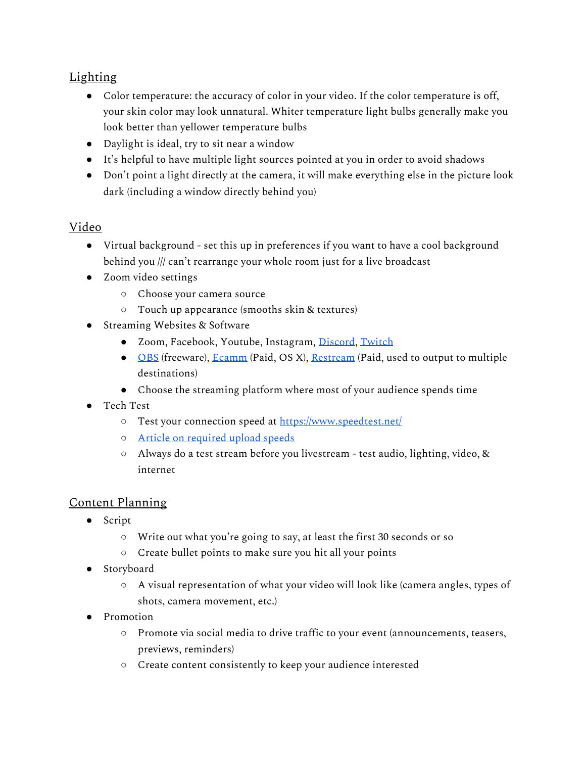## Lighting

- Color temperature: the accuracy of color in your video. If the color temperature is off, your skin color may look unnatural. Whiter temperature light bulbs generally make you look better than yellower temperature bulbs
- Daylight is ideal, try to sit near a window
- It's helpful to have multiple light sources pointed at you in order to avoid shadows
- Don't point a light directly at the camera, it will make everything else in the picture look dark (including a window directly behind you)

### Video

- Virtual background set this up in preferences if you want to have a cool background behind you /// can't rearrange your whole room just for a live broadcast
- Zoom video settings
	- Choose your camera source
	- Touch up appearance (smooths skin & textures)
- Streaming Websites & Software
	- Zoom, Facebook, Youtube, Instagram, [Discord](https://discord.com/), [Twitch](https://m.twitch.tv/)
	- [OBS](https://obsproject.com/) (freeware), [Ecamm](https://www.ecamm.com/) (Paid, OS X), [Restream](https://restream.io/channel) (Paid, used to output to multiple destinations)
	- Choose the streaming platform where most of your audience spends time
- Tech Test
	- Test your connection speed at <https://www.speedtest.net/>
	- Article on [required](https://restream.io/blog/what-is-a-good-upload-speed-for-streaming/#:~:text=For%20audio%2C%20it%20recommends%20up,roughly%203%20to%204%20Mbps.) upload speeds
	- Always do a test stream before you livestream test audio, lighting, video, & internet

#### Content Planning

- Script
	- Write out what you're going to say, at least the first 30 seconds or so
	- Create bullet points to make sure you hit all your points
- Storyboard
	- $\circ$  A visual representation of what your video will look like (camera angles, types of shots, camera movement, etc.)
- Promotion
	- Promote via social media to drive traffic to your event (announcements, teasers, previews, reminders)
	- Create content consistently to keep your audience interested